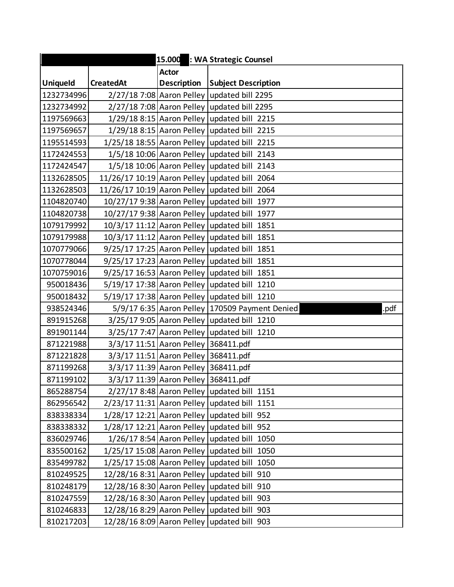| 15.000 : WA Strategic Counsel |                  |                                      |                                                        |
|-------------------------------|------------------|--------------------------------------|--------------------------------------------------------|
|                               |                  | <b>Actor</b>                         |                                                        |
| <b>Uniqueld</b>               | <b>CreatedAt</b> |                                      | Description Subject Description                        |
| 1232734996                    |                  |                                      | 2/27/18 7:08 Aaron Pelley updated bill 2295            |
| 1232734992                    |                  |                                      | 2/27/18 7:08 Aaron Pelley updated bill 2295            |
| 1197569663                    |                  |                                      | 1/29/18 8:15 Aaron Pelley updated bill 2215            |
| 1197569657                    |                  |                                      | 1/29/18 8:15 Aaron Pelley updated bill 2215            |
| 1195514593                    |                  |                                      | 1/25/18 18:55 Aaron Pelley updated bill 2215           |
| 1172424553                    |                  |                                      | 1/5/18 10:06 Aaron Pelley updated bill 2143            |
| 1172424547                    |                  |                                      | 1/5/18 10:06 Aaron Pelley updated bill 2143            |
| 1132628505                    |                  |                                      | 11/26/17 10:19 Aaron Pelley updated bill 2064          |
| 1132628503                    |                  |                                      | 11/26/17 10:19 Aaron Pelley updated bill 2064          |
| 1104820740                    |                  |                                      | 10/27/17 9:38 Aaron Pelley updated bill 1977           |
| 1104820738                    |                  |                                      | 10/27/17 9:38 Aaron Pelley updated bill 1977           |
| 1079179992                    |                  |                                      | 10/3/17 11:12 Aaron Pelley updated bill 1851           |
| 1079179988                    |                  |                                      | 10/3/17 11:12 Aaron Pelley updated bill 1851           |
| 1070779066                    |                  |                                      | 9/25/17 17:25 Aaron Pelley updated bill 1851           |
| 1070778044                    |                  |                                      | 9/25/17 17:23 Aaron Pelley updated bill 1851           |
| 1070759016                    |                  |                                      | 9/25/17 16:53 Aaron Pelley updated bill 1851           |
| 950018436                     |                  |                                      | 5/19/17 17:38 Aaron Pelley updated bill 1210           |
| 950018432                     |                  |                                      | 5/19/17 17:38 Aaron Pelley updated bill 1210           |
| 938524346                     |                  |                                      | 5/9/17 6:35 Aaron Pelley 170509 Payment Denied<br>.pdf |
| 891915268                     |                  |                                      | 3/25/17 9:05 Aaron Pelley updated bill 1210            |
| 891901144                     |                  |                                      | 3/25/17 7:47 Aaron Pelley updated bill 1210            |
| 871221988                     |                  | 3/3/17 11:51 Aaron Pelley 368411.pdf |                                                        |
| 871221828                     |                  | 3/3/17 11:51 Aaron Pelley 368411.pdf |                                                        |
| 871199268                     |                  | 3/3/17 11:39 Aaron Pelley 368411.pdf |                                                        |
| 871199102                     |                  | 3/3/17 11:39 Aaron Pelley 368411.pdf |                                                        |
| 865288754                     |                  |                                      | 2/27/17 8:48 Aaron Pelley updated bill 1151            |
| 862956542                     |                  |                                      | 2/23/17 11:31 Aaron Pelley updated bill 1151           |
| 838338334                     |                  |                                      | 1/28/17 12:21 Aaron Pelley updated bill 952            |
| 838338332                     |                  |                                      | 1/28/17 12:21 Aaron Pelley updated bill 952            |
| 836029746                     |                  |                                      | 1/26/17 8:54 Aaron Pelley updated bill 1050            |
| 835500162                     |                  |                                      | 1/25/17 15:08 Aaron Pelley updated bill 1050           |
| 835499782                     |                  |                                      | 1/25/17 15:08 Aaron Pelley updated bill 1050           |
| 810249525                     |                  |                                      | 12/28/16 8:31 Aaron Pelley updated bill 910            |
| 810248179                     |                  |                                      | 12/28/16 8:30 Aaron Pelley updated bill 910            |
| 810247559                     |                  |                                      | 12/28/16 8:30 Aaron Pelley updated bill 903            |
| 810246833                     |                  |                                      | 12/28/16 8:29 Aaron Pelley updated bill 903            |
| 810217203                     |                  |                                      | 12/28/16 8:09 Aaron Pelley updated bill 903            |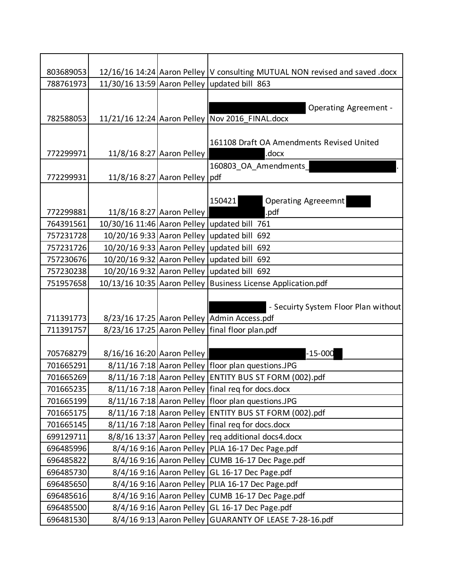| 803689053 |                            |                                 | 12/16/16 14:24 Aaron Pelley  V consulting MUTUAL NON revised and saved .docx |
|-----------|----------------------------|---------------------------------|------------------------------------------------------------------------------|
| 788761973 |                            |                                 | 11/30/16 13:59 Aaron Pelley updated bill 863                                 |
|           |                            |                                 |                                                                              |
|           |                            |                                 | <b>Operating Agreement -</b>                                                 |
| 782588053 |                            |                                 | 11/21/16 12:24 Aaron Pelley   Nov 2016_FINAL.docx                            |
|           |                            |                                 |                                                                              |
|           |                            |                                 | 161108 Draft OA Amendments Revised United                                    |
| 772299971 | 11/8/16 8:27 Aaron Pelley  |                                 | .docx                                                                        |
|           |                            |                                 | 160803 OA Amendments                                                         |
| 772299931 |                            | 11/8/16 8:27 Aaron Pelley   pdf |                                                                              |
|           |                            |                                 |                                                                              |
|           |                            |                                 | 150421<br>Operating Agreeemnt                                                |
| 772299881 |                            | 11/8/16 8:27 Aaron Pelley       | .pdf                                                                         |
| 764391561 |                            |                                 | 10/30/16 11:46 Aaron Pelley updated bill 761                                 |
| 757231728 |                            |                                 | 10/20/16 9:33 Aaron Pelley updated bill 692                                  |
| 757231726 |                            |                                 | 10/20/16 9:33 Aaron Pelley updated bill 692                                  |
| 757230676 |                            |                                 | 10/20/16 9:32 Aaron Pelley updated bill 692                                  |
| 757230238 |                            |                                 | 10/20/16 9:32 Aaron Pelley updated bill 692                                  |
| 751957658 |                            |                                 | 10/13/16 10:35 Aaron Pelley Business License Application.pdf                 |
|           |                            |                                 |                                                                              |
|           |                            |                                 | - Secuirty System Floor Plan without                                         |
| 711391773 |                            |                                 | 8/23/16 17:25 Aaron Pelley Admin Access.pdf                                  |
| 711391757 |                            |                                 | 8/23/16 17:25 Aaron Pelley   final floor plan.pdf                            |
|           |                            |                                 |                                                                              |
| 705768279 | 8/16/16 16:20 Aaron Pelley |                                 | $-15 - 000$                                                                  |
| 701665291 |                            |                                 | 8/11/16 7:18 Aaron Pelley   floor plan questions.JPG                         |
| 701665269 |                            |                                 | 8/11/16 7:18 Aaron Pelley ENTITY BUS ST FORM (002).pdf                       |
| 701665235 |                            |                                 | 8/11/16 7:18 Aaron Pelley   final reg for docs.docx                          |
| 701665199 |                            |                                 | 8/11/16 7:18 Aaron Pelley   floor plan questions.JPG                         |
| 701665175 |                            |                                 | 8/11/16 7:18 Aaron Pelley ENTITY BUS ST FORM (002).pdf                       |
| 701665145 |                            |                                 | 8/11/16 7:18 Aaron Pelley final reg for docs.docx                            |
| 699129711 |                            |                                 | 8/8/16 13:37 Aaron Pelley   req additional docs4.docx                        |
| 696485996 |                            |                                 | 8/4/16 9:16 Aaron Pelley PLIA 16-17 Dec Page.pdf                             |
| 696485822 |                            |                                 | 8/4/16 9:16 Aaron Pelley CUMB 16-17 Dec Page.pdf                             |
| 696485730 |                            |                                 | 8/4/16 9:16 Aaron Pelley GL 16-17 Dec Page.pdf                               |
| 696485650 |                            |                                 | 8/4/16 9:16 Aaron Pelley PLIA 16-17 Dec Page.pdf                             |
| 696485616 |                            |                                 | 8/4/16 9:16 Aaron Pelley CUMB 16-17 Dec Page.pdf                             |
| 696485500 |                            |                                 | 8/4/16 9:16 Aaron Pelley GL 16-17 Dec Page.pdf                               |
| 696481530 |                            |                                 | 8/4/16 9:13 Aaron Pelley GUARANTY OF LEASE 7-28-16.pdf                       |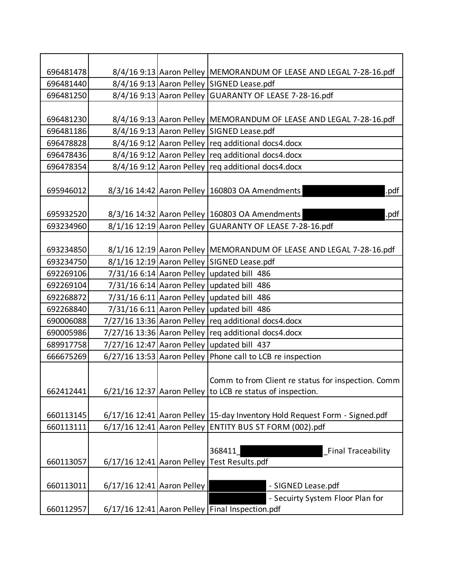| 696481478 |                            | 8/4/16 9:13 Aaron Pelley   MEMORANDUM OF LEASE AND LEGAL 7-28-16.pdf       |
|-----------|----------------------------|----------------------------------------------------------------------------|
| 696481440 |                            | 8/4/16 9:13 Aaron Pelley SIGNED Lease.pdf                                  |
| 696481250 |                            | 8/4/16 9:13 Aaron Pelley GUARANTY OF LEASE 7-28-16.pdf                     |
|           |                            |                                                                            |
| 696481230 |                            | 8/4/16 9:13 Aaron Pelley   MEMORANDUM OF LEASE AND LEGAL 7-28-16.pdf       |
| 696481186 |                            | 8/4/16 9:13 Aaron Pelley SIGNED Lease.pdf                                  |
| 696478828 |                            | 8/4/16 9:12 Aaron Pelley req additional docs4.docx                         |
| 696478436 |                            | 8/4/16 9:12 Aaron Pelley req additional docs4.docx                         |
| 696478354 |                            | 8/4/16 9:12 Aaron Pelley req additional docs4.docx                         |
|           |                            |                                                                            |
| 695946012 |                            | 8/3/16 14:42 Aaron Pelley 160803 OA Amendments<br>.pdf                     |
|           |                            |                                                                            |
| 695932520 |                            | 8/3/16 14:32 Aaron Pelley 160803 OA Amendments<br>.pdf                     |
| 693234960 |                            | 8/1/16 12:19 Aaron Pelley GUARANTY OF LEASE 7-28-16.pdf                    |
|           |                            |                                                                            |
| 693234850 |                            | 8/1/16 12:19 Aaron Pelley   MEMORANDUM OF LEASE AND LEGAL 7-28-16.pdf      |
| 693234750 |                            | 8/1/16 12:19 Aaron Pelley SIGNED Lease.pdf                                 |
| 692269106 |                            | 7/31/16 6:14 Aaron Pelley updated bill 486                                 |
| 692269104 |                            | 7/31/16 6:14 Aaron Pelley updated bill 486                                 |
| 692268872 |                            | 7/31/16 6:11 Aaron Pelley updated bill 486                                 |
| 692268840 |                            | 7/31/16 6:11 Aaron Pelley updated bill 486                                 |
| 690006088 |                            | 7/27/16 13:36 Aaron Pelley req additional docs4.docx                       |
| 690005986 |                            | 7/27/16 13:36 Aaron Pelley req additional docs4.docx                       |
| 689917758 |                            | 7/27/16 12:47 Aaron Pelley updated bill 437                                |
| 666675269 |                            | 6/27/16 13:53 Aaron Pelley Phone call to LCB re inspection                 |
|           |                            |                                                                            |
|           |                            | Comm to from Client re status for inspection. Comm                         |
| 662412441 |                            | $6/21/16$ 12:37 Aaron Pelley to LCB re status of inspection.               |
|           |                            |                                                                            |
| 660113145 |                            | 6/17/16 12:41 Aaron Pelley 15-day Inventory Hold Request Form - Signed.pdf |
| 660113111 |                            | 6/17/16 12:41 Aaron Pelley ENTITY BUS ST FORM (002).pdf                    |
|           |                            |                                                                            |
|           |                            | <b>Final Traceability</b><br>368411                                        |
| 660113057 |                            | 6/17/16 12:41 Aaron Pelley Test Results.pdf                                |
|           |                            |                                                                            |
| 660113011 | 6/17/16 12:41 Aaron Pelley | - SIGNED Lease.pdf                                                         |
|           |                            | - Secuirty System Floor Plan for                                           |
| 660112957 |                            | 6/17/16 12:41 Aaron Pelley Final Inspection.pdf                            |